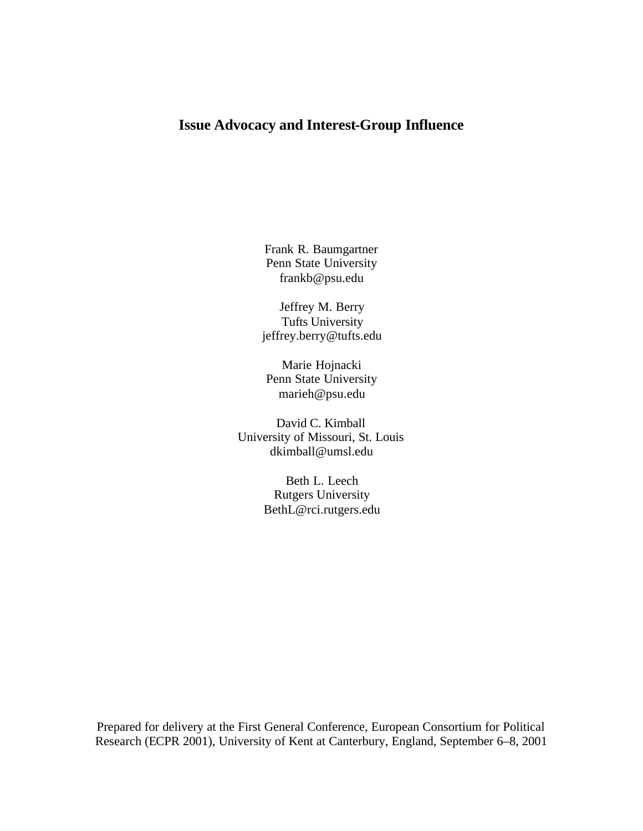# **Issue Advocacy and Interest-Group Influence**

Frank R. Baumgartner Penn State University frankb@psu.edu

Jeffrey M. Berry Tufts University jeffrey.berry@tufts.edu

Marie Hojnacki Penn State University marieh@psu.edu

David C. Kimball University of Missouri, St. Louis dkimball@umsl.edu

> Beth L. Leech Rutgers University BethL@rci.rutgers.edu

Prepared for delivery at the First General Conference, European Consortium for Political Research (ECPR 2001), University of Kent at Canterbury, England, September 6–8, 2001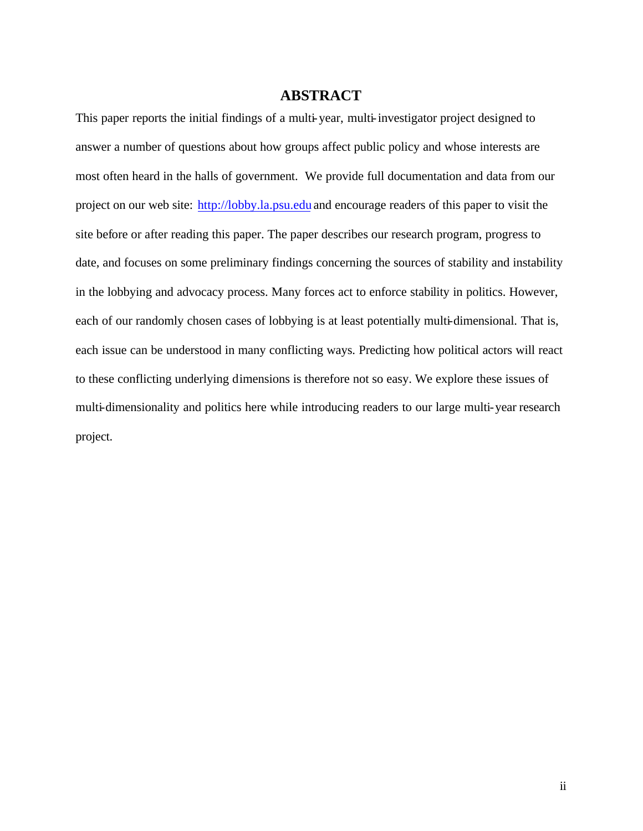## **ABSTRACT**

This paper reports the initial findings of a multi-year, multi-investigator project designed to answer a number of questions about how groups affect public policy and whose interests are most often heard in the halls of government. We provide full documentation and data from our project on our web site: http://lobby.la.psu.edu and encourage readers of this paper to visit the site before or after reading this paper. The paper describes our research program, progress to date, and focuses on some preliminary findings concerning the sources of stability and instability in the lobbying and advocacy process. Many forces act to enforce stability in politics. However, each of our randomly chosen cases of lobbying is at least potentially multi-dimensional. That is, each issue can be understood in many conflicting ways. Predicting how political actors will react to these conflicting underlying dimensions is therefore not so easy. We explore these issues of multi-dimensionality and politics here while introducing readers to our large multi-year research project.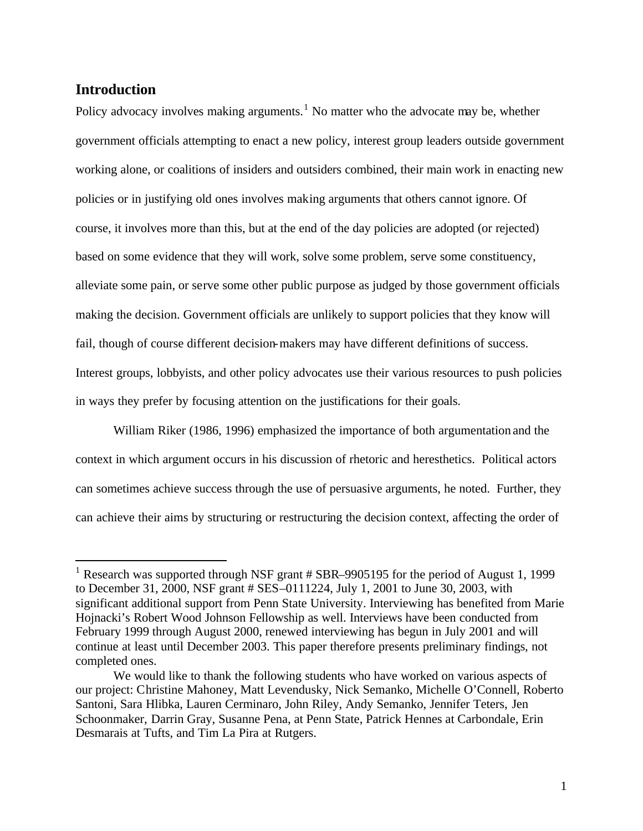## **Introduction**

 $\overline{a}$ 

Policy advocacy involves making arguments.<sup>1</sup> No matter who the advocate may be, whether government officials attempting to enact a new policy, interest group leaders outside government working alone, or coalitions of insiders and outsiders combined, their main work in enacting new policies or in justifying old ones involves making arguments that others cannot ignore. Of course, it involves more than this, but at the end of the day policies are adopted (or rejected) based on some evidence that they will work, solve some problem, serve some constituency, alleviate some pain, or serve some other public purpose as judged by those government officials making the decision. Government officials are unlikely to support policies that they know will fail, though of course different decision-makers may have different definitions of success. Interest groups, lobbyists, and other policy advocates use their various resources to push policies in ways they prefer by focusing attention on the justifications for their goals.

William Riker (1986, 1996) emphasized the importance of both argumentation and the context in which argument occurs in his discussion of rhetoric and heresthetics. Political actors can sometimes achieve success through the use of persuasive arguments, he noted. Further, they can achieve their aims by structuring or restructuring the decision context, affecting the order of

<sup>&</sup>lt;sup>1</sup> Research was supported through NSF grant # SBR–9905195 for the period of August 1, 1999 to December 31, 2000, NSF grant # SES–0111224, July 1, 2001 to June 30, 2003, with significant additional support from Penn State University. Interviewing has benefited from Marie Hojnacki's Robert Wood Johnson Fellowship as well. Interviews have been conducted from February 1999 through August 2000, renewed interviewing has begun in July 2001 and will continue at least until December 2003. This paper therefore presents preliminary findings, not completed ones.

We would like to thank the following students who have worked on various aspects of our project: Christine Mahoney, Matt Levendusky, Nick Semanko, Michelle O'Connell, Roberto Santoni, Sara Hlibka, Lauren Cerminaro, John Riley, Andy Semanko, Jennifer Teters, Jen Schoonmaker, Darrin Gray, Susanne Pena, at Penn State, Patrick Hennes at Carbondale, Erin Desmarais at Tufts, and Tim La Pira at Rutgers.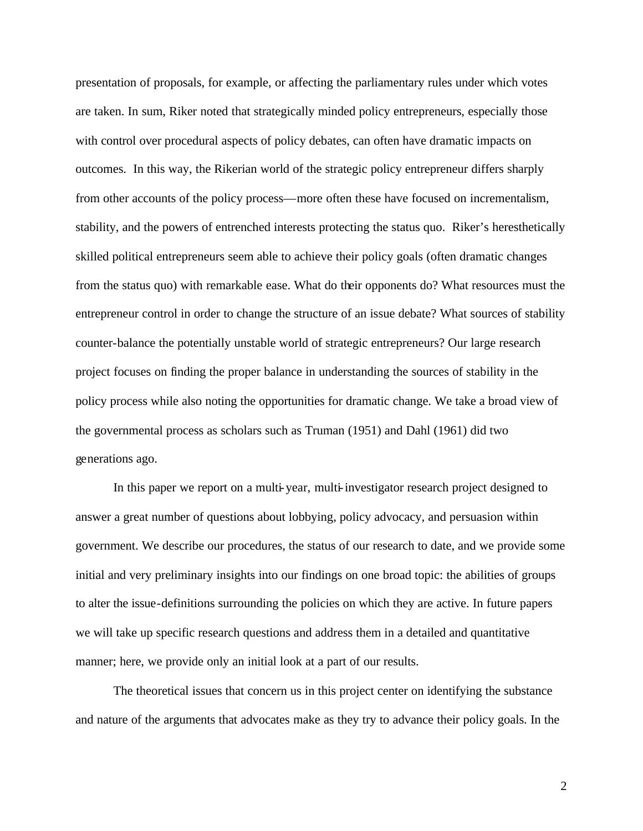presentation of proposals, for example, or affecting the parliamentary rules under which votes are taken. In sum, Riker noted that strategically minded policy entrepreneurs, especially those with control over procedural aspects of policy debates, can often have dramatic impacts on outcomes. In this way, the Rikerian world of the strategic policy entrepreneur differs sharply from other accounts of the policy process—more often these have focused on incrementalism, stability, and the powers of entrenched interests protecting the status quo. Riker's heresthetically skilled political entrepreneurs seem able to achieve their policy goals (often dramatic changes from the status quo) with remarkable ease. What do their opponents do? What resources must the entrepreneur control in order to change the structure of an issue debate? What sources of stability counter-balance the potentially unstable world of strategic entrepreneurs? Our large research project focuses on finding the proper balance in understanding the sources of stability in the policy process while also noting the opportunities for dramatic change. We take a broad view of the governmental process as scholars such as Truman (1951) and Dahl (1961) did two generations ago.

In this paper we report on a multi-year, multi-investigator research project designed to answer a great number of questions about lobbying, policy advocacy, and persuasion within government. We describe our procedures, the status of our research to date, and we provide some initial and very preliminary insights into our findings on one broad topic: the abilities of groups to alter the issue-definitions surrounding the policies on which they are active. In future papers we will take up specific research questions and address them in a detailed and quantitative manner; here, we provide only an initial look at a part of our results.

The theoretical issues that concern us in this project center on identifying the substance and nature of the arguments that advocates make as they try to advance their policy goals. In the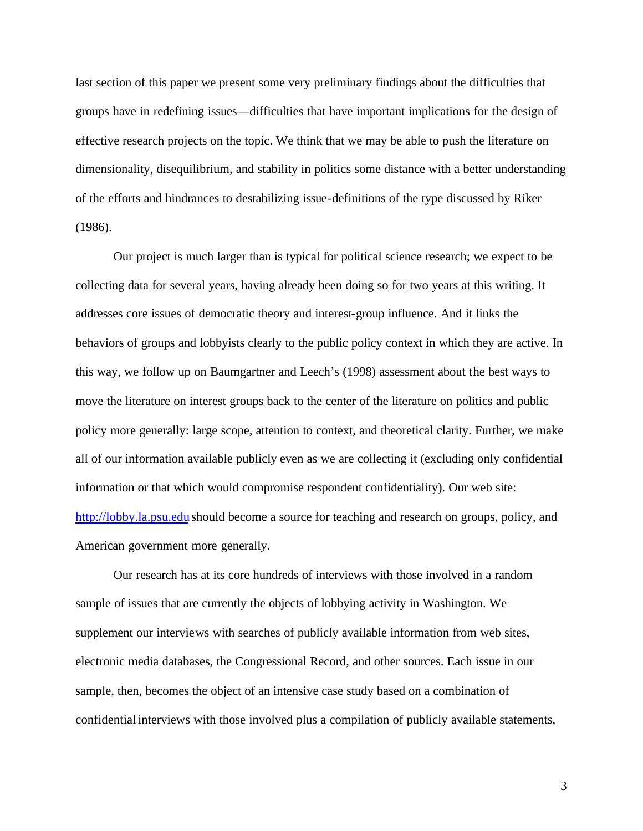last section of this paper we present some very preliminary findings about the difficulties that groups have in redefining issues—difficulties that have important implications for the design of effective research projects on the topic. We think that we may be able to push the literature on dimensionality, disequilibrium, and stability in politics some distance with a better understanding of the efforts and hindrances to destabilizing issue-definitions of the type discussed by Riker (1986).

Our project is much larger than is typical for political science research; we expect to be collecting data for several years, having already been doing so for two years at this writing. It addresses core issues of democratic theory and interest-group influence. And it links the behaviors of groups and lobbyists clearly to the public policy context in which they are active. In this way, we follow up on Baumgartner and Leech's (1998) assessment about the best ways to move the literature on interest groups back to the center of the literature on politics and public policy more generally: large scope, attention to context, and theoretical clarity. Further, we make all of our information available publicly even as we are collecting it (excluding only confidential information or that which would compromise respondent confidentiality). Our web site: http://lobby.la.psu.edu should become a source for teaching and research on groups, policy, and American government more generally.

Our research has at its core hundreds of interviews with those involved in a random sample of issues that are currently the objects of lobbying activity in Washington. We supplement our interviews with searches of publicly available information from web sites, electronic media databases, the Congressional Record, and other sources. Each issue in our sample, then, becomes the object of an intensive case study based on a combination of confidential interviews with those involved plus a compilation of publicly available statements,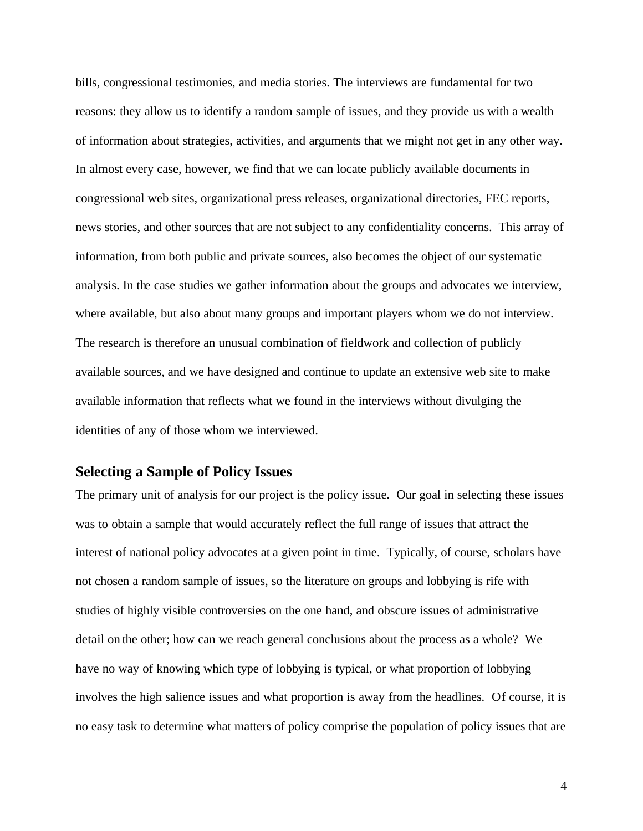bills, congressional testimonies, and media stories. The interviews are fundamental for two reasons: they allow us to identify a random sample of issues, and they provide us with a wealth of information about strategies, activities, and arguments that we might not get in any other way. In almost every case, however, we find that we can locate publicly available documents in congressional web sites, organizational press releases, organizational directories, FEC reports, news stories, and other sources that are not subject to any confidentiality concerns. This array of information, from both public and private sources, also becomes the object of our systematic analysis. In the case studies we gather information about the groups and advocates we interview, where available, but also about many groups and important players whom we do not interview. The research is therefore an unusual combination of fieldwork and collection of publicly available sources, and we have designed and continue to update an extensive web site to make available information that reflects what we found in the interviews without divulging the identities of any of those whom we interviewed.

## **Selecting a Sample of Policy Issues**

The primary unit of analysis for our project is the policy issue. Our goal in selecting these issues was to obtain a sample that would accurately reflect the full range of issues that attract the interest of national policy advocates at a given point in time. Typically, of course, scholars have not chosen a random sample of issues, so the literature on groups and lobbying is rife with studies of highly visible controversies on the one hand, and obscure issues of administrative detail on the other; how can we reach general conclusions about the process as a whole? We have no way of knowing which type of lobbying is typical, or what proportion of lobbying involves the high salience issues and what proportion is away from the headlines. Of course, it is no easy task to determine what matters of policy comprise the population of policy issues that are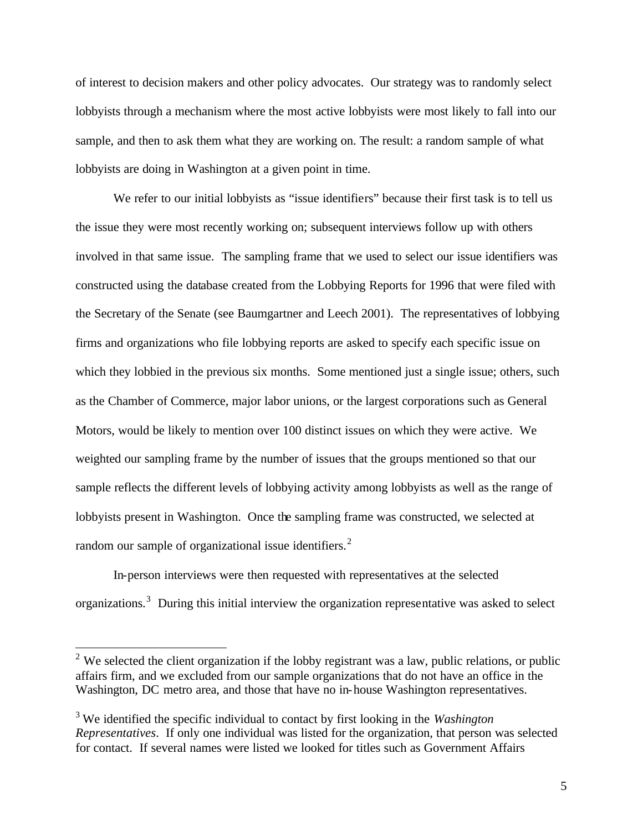of interest to decision makers and other policy advocates. Our strategy was to randomly select lobbyists through a mechanism where the most active lobbyists were most likely to fall into our sample, and then to ask them what they are working on. The result: a random sample of what lobbyists are doing in Washington at a given point in time.

We refer to our initial lobbyists as "issue identifiers" because their first task is to tell us the issue they were most recently working on; subsequent interviews follow up with others involved in that same issue. The sampling frame that we used to select our issue identifiers was constructed using the database created from the Lobbying Reports for 1996 that were filed with the Secretary of the Senate (see Baumgartner and Leech 2001). The representatives of lobbying firms and organizations who file lobbying reports are asked to specify each specific issue on which they lobbied in the previous six months. Some mentioned just a single issue; others, such as the Chamber of Commerce, major labor unions, or the largest corporations such as General Motors, would be likely to mention over 100 distinct issues on which they were active. We weighted our sampling frame by the number of issues that the groups mentioned so that our sample reflects the different levels of lobbying activity among lobbyists as well as the range of lobbyists present in Washington. Once the sampling frame was constructed, we selected at random our sample of organizational issue identifiers.<sup>2</sup>

In-person interviews were then requested with representatives at the selected organizations.<sup>3</sup> During this initial interview the organization representative was asked to select

<sup>&</sup>lt;sup>2</sup> We selected the client organization if the lobby registrant was a law, public relations, or public affairs firm, and we excluded from our sample organizations that do not have an office in the Washington, DC metro area, and those that have no in-house Washington representatives.

<sup>3</sup>We identified the specific individual to contact by first looking in the *Washington Representatives*. If only one individual was listed for the organization, that person was selected for contact. If several names were listed we looked for titles such as Government Affairs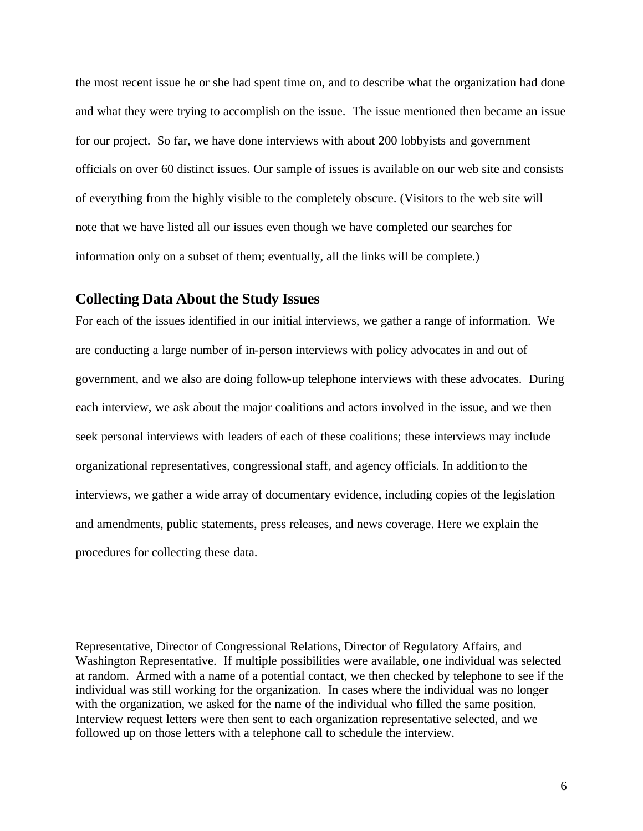the most recent issue he or she had spent time on, and to describe what the organization had done and what they were trying to accomplish on the issue. The issue mentioned then became an issue for our project. So far, we have done interviews with about 200 lobbyists and government officials on over 60 distinct issues. Our sample of issues is available on our web site and consists of everything from the highly visible to the completely obscure. (Visitors to the web site will note that we have listed all our issues even though we have completed our searches for information only on a subset of them; eventually, all the links will be complete.)

## **Collecting Data About the Study Issues**

 $\overline{a}$ 

For each of the issues identified in our initial interviews, we gather a range of information. We are conducting a large number of in-person interviews with policy advocates in and out of government, and we also are doing follow-up telephone interviews with these advocates. During each interview, we ask about the major coalitions and actors involved in the issue, and we then seek personal interviews with leaders of each of these coalitions; these interviews may include organizational representatives, congressional staff, and agency officials. In addition to the interviews, we gather a wide array of documentary evidence, including copies of the legislation and amendments, public statements, press releases, and news coverage. Here we explain the procedures for collecting these data.

Representative, Director of Congressional Relations, Director of Regulatory Affairs, and Washington Representative. If multiple possibilities were available, one individual was selected at random. Armed with a name of a potential contact, we then checked by telephone to see if the individual was still working for the organization. In cases where the individual was no longer with the organization, we asked for the name of the individual who filled the same position. Interview request letters were then sent to each organization representative selected, and we followed up on those letters with a telephone call to schedule the interview.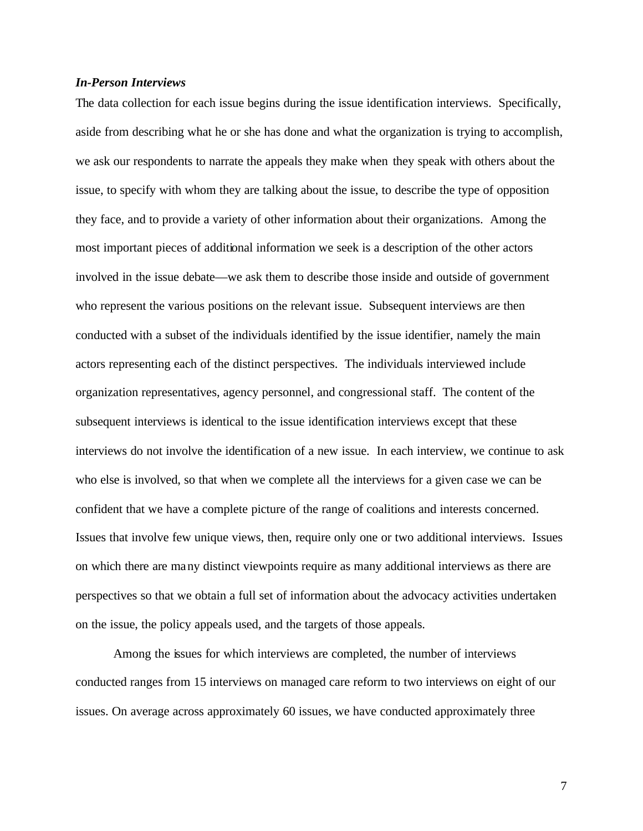### *In-Person Interviews*

The data collection for each issue begins during the issue identification interviews. Specifically, aside from describing what he or she has done and what the organization is trying to accomplish, we ask our respondents to narrate the appeals they make when they speak with others about the issue, to specify with whom they are talking about the issue, to describe the type of opposition they face, and to provide a variety of other information about their organizations. Among the most important pieces of additional information we seek is a description of the other actors involved in the issue debate—we ask them to describe those inside and outside of government who represent the various positions on the relevant issue. Subsequent interviews are then conducted with a subset of the individuals identified by the issue identifier, namely the main actors representing each of the distinct perspectives. The individuals interviewed include organization representatives, agency personnel, and congressional staff. The content of the subsequent interviews is identical to the issue identification interviews except that these interviews do not involve the identification of a new issue. In each interview, we continue to ask who else is involved, so that when we complete all the interviews for a given case we can be confident that we have a complete picture of the range of coalitions and interests concerned. Issues that involve few unique views, then, require only one or two additional interviews. Issues on which there are many distinct viewpoints require as many additional interviews as there are perspectives so that we obtain a full set of information about the advocacy activities undertaken on the issue, the policy appeals used, and the targets of those appeals.

Among the issues for which interviews are completed, the number of interviews conducted ranges from 15 interviews on managed care reform to two interviews on eight of our issues. On average across approximately 60 issues, we have conducted approximately three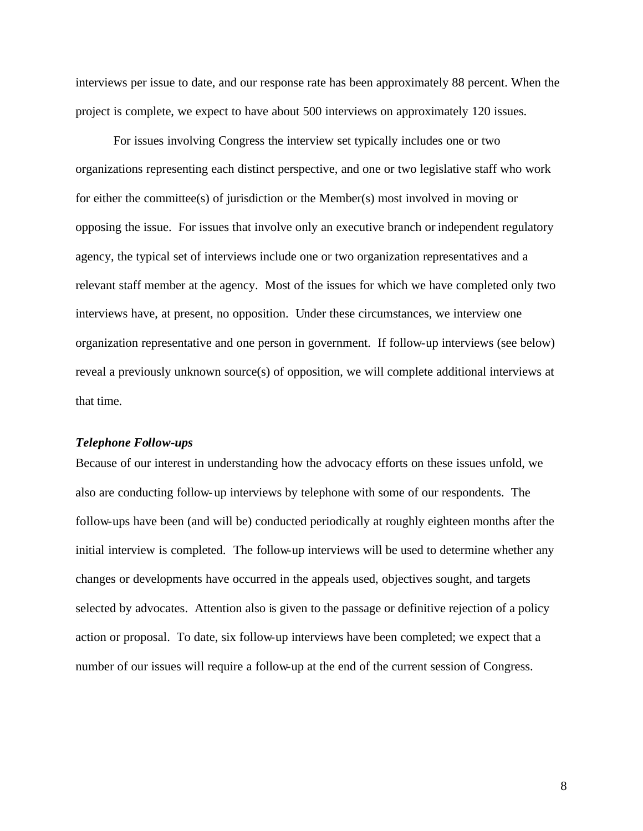interviews per issue to date, and our response rate has been approximately 88 percent. When the project is complete, we expect to have about 500 interviews on approximately 120 issues.

For issues involving Congress the interview set typically includes one or two organizations representing each distinct perspective, and one or two legislative staff who work for either the committee(s) of jurisdiction or the Member(s) most involved in moving or opposing the issue. For issues that involve only an executive branch or independent regulatory agency, the typical set of interviews include one or two organization representatives and a relevant staff member at the agency. Most of the issues for which we have completed only two interviews have, at present, no opposition. Under these circumstances, we interview one organization representative and one person in government. If follow-up interviews (see below) reveal a previously unknown source(s) of opposition, we will complete additional interviews at that time.

#### *Telephone Follow-ups*

Because of our interest in understanding how the advocacy efforts on these issues unfold, we also are conducting follow-up interviews by telephone with some of our respondents. The follow-ups have been (and will be) conducted periodically at roughly eighteen months after the initial interview is completed. The follow-up interviews will be used to determine whether any changes or developments have occurred in the appeals used, objectives sought, and targets selected by advocates. Attention also is given to the passage or definitive rejection of a policy action or proposal. To date, six follow-up interviews have been completed; we expect that a number of our issues will require a follow-up at the end of the current session of Congress.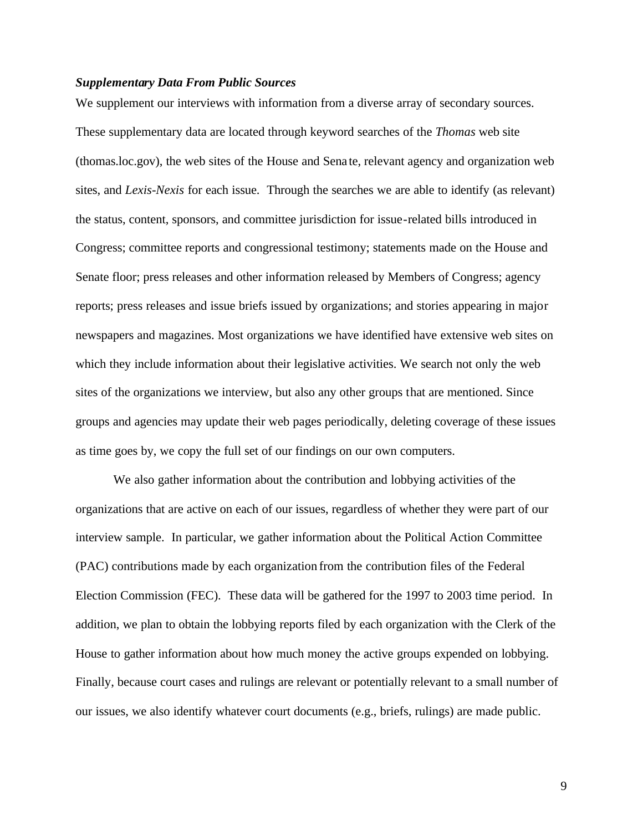#### *Supplementary Data From Public Sources*

We supplement our interviews with information from a diverse array of secondary sources. These supplementary data are located through keyword searches of the *Thomas* web site (thomas.loc.gov), the web sites of the House and Sena te, relevant agency and organization web sites, and *Lexis-Nexis* for each issue. Through the searches we are able to identify (as relevant) the status, content, sponsors, and committee jurisdiction for issue-related bills introduced in Congress; committee reports and congressional testimony; statements made on the House and Senate floor; press releases and other information released by Members of Congress; agency reports; press releases and issue briefs issued by organizations; and stories appearing in major newspapers and magazines. Most organizations we have identified have extensive web sites on which they include information about their legislative activities. We search not only the web sites of the organizations we interview, but also any other groups that are mentioned. Since groups and agencies may update their web pages periodically, deleting coverage of these issues as time goes by, we copy the full set of our findings on our own computers.

We also gather information about the contribution and lobbying activities of the organizations that are active on each of our issues, regardless of whether they were part of our interview sample. In particular, we gather information about the Political Action Committee (PAC) contributions made by each organization from the contribution files of the Federal Election Commission (FEC). These data will be gathered for the 1997 to 2003 time period. In addition, we plan to obtain the lobbying reports filed by each organization with the Clerk of the House to gather information about how much money the active groups expended on lobbying. Finally, because court cases and rulings are relevant or potentially relevant to a small number of our issues, we also identify whatever court documents (e.g., briefs, rulings) are made public.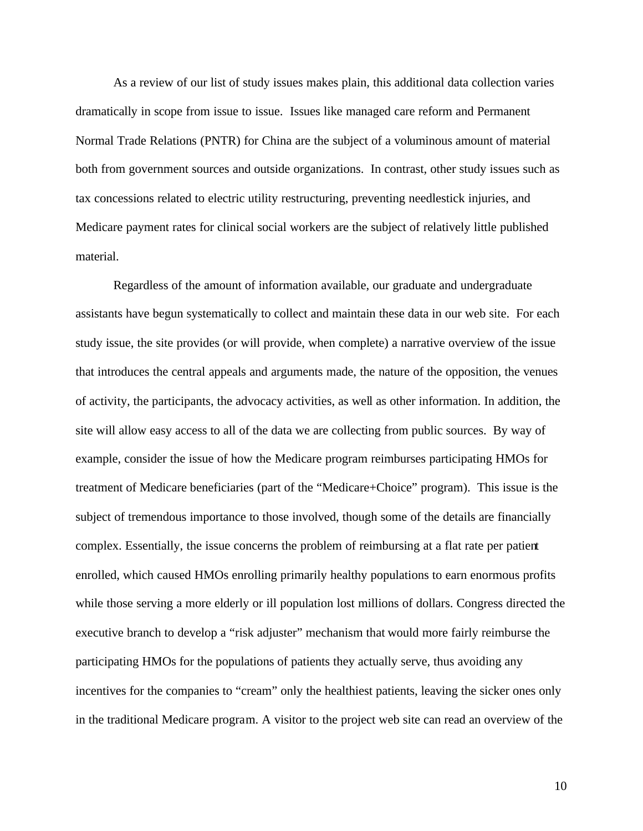As a review of our list of study issues makes plain, this additional data collection varies dramatically in scope from issue to issue. Issues like managed care reform and Permanent Normal Trade Relations (PNTR) for China are the subject of a voluminous amount of material both from government sources and outside organizations. In contrast, other study issues such as tax concessions related to electric utility restructuring, preventing needlestick injuries, and Medicare payment rates for clinical social workers are the subject of relatively little published material.

Regardless of the amount of information available, our graduate and undergraduate assistants have begun systematically to collect and maintain these data in our web site. For each study issue, the site provides (or will provide, when complete) a narrative overview of the issue that introduces the central appeals and arguments made, the nature of the opposition, the venues of activity, the participants, the advocacy activities, as well as other information. In addition, the site will allow easy access to all of the data we are collecting from public sources. By way of example, consider the issue of how the Medicare program reimburses participating HMOs for treatment of Medicare beneficiaries (part of the "Medicare+Choice" program). This issue is the subject of tremendous importance to those involved, though some of the details are financially complex. Essentially, the issue concerns the problem of reimbursing at a flat rate per patient enrolled, which caused HMOs enrolling primarily healthy populations to earn enormous profits while those serving a more elderly or ill population lost millions of dollars. Congress directed the executive branch to develop a "risk adjuster" mechanism that would more fairly reimburse the participating HMOs for the populations of patients they actually serve, thus avoiding any incentives for the companies to "cream" only the healthiest patients, leaving the sicker ones only in the traditional Medicare program. A visitor to the project web site can read an overview of the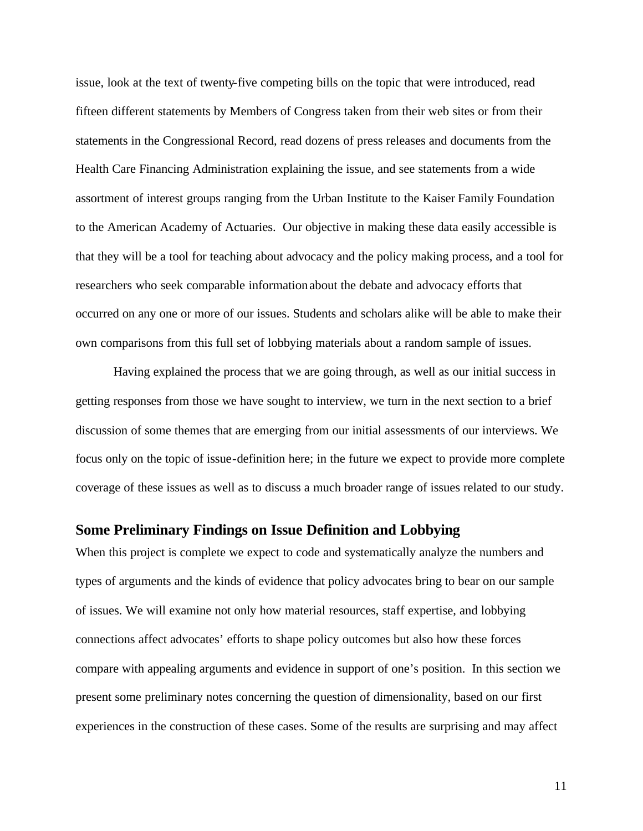issue, look at the text of twenty-five competing bills on the topic that were introduced, read fifteen different statements by Members of Congress taken from their web sites or from their statements in the Congressional Record, read dozens of press releases and documents from the Health Care Financing Administration explaining the issue, and see statements from a wide assortment of interest groups ranging from the Urban Institute to the Kaiser Family Foundation to the American Academy of Actuaries. Our objective in making these data easily accessible is that they will be a tool for teaching about advocacy and the policy making process, and a tool for researchers who seek comparable information about the debate and advocacy efforts that occurred on any one or more of our issues. Students and scholars alike will be able to make their own comparisons from this full set of lobbying materials about a random sample of issues.

Having explained the process that we are going through, as well as our initial success in getting responses from those we have sought to interview, we turn in the next section to a brief discussion of some themes that are emerging from our initial assessments of our interviews. We focus only on the topic of issue-definition here; in the future we expect to provide more complete coverage of these issues as well as to discuss a much broader range of issues related to our study.

### **Some Preliminary Findings on Issue Definition and Lobbying**

When this project is complete we expect to code and systematically analyze the numbers and types of arguments and the kinds of evidence that policy advocates bring to bear on our sample of issues. We will examine not only how material resources, staff expertise, and lobbying connections affect advocates' efforts to shape policy outcomes but also how these forces compare with appealing arguments and evidence in support of one's position. In this section we present some preliminary notes concerning the question of dimensionality, based on our first experiences in the construction of these cases. Some of the results are surprising and may affect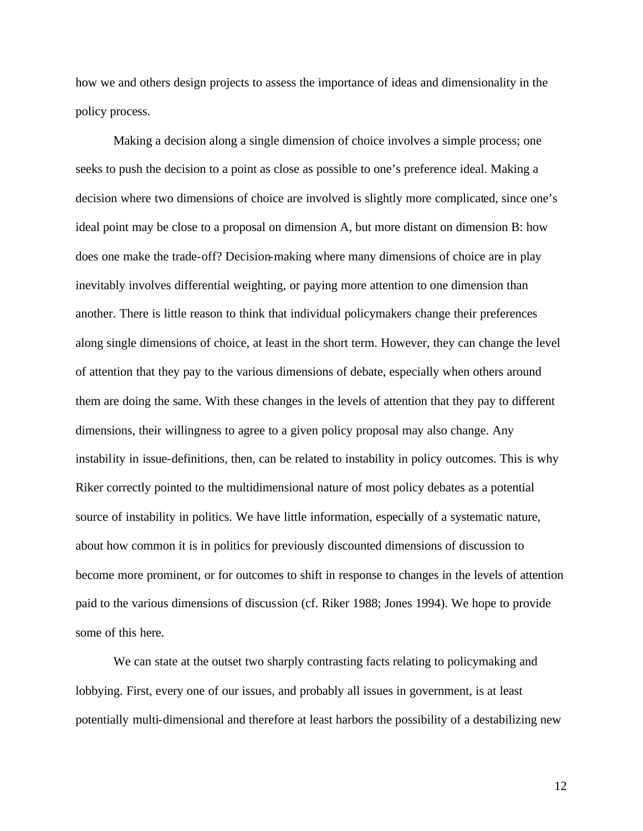how we and others design projects to assess the importance of ideas and dimensionality in the policy process.

Making a decision along a single dimension of choice involves a simple process; one seeks to push the decision to a point as close as possible to one's preference ideal. Making a decision where two dimensions of choice are involved is slightly more complicated, since one's ideal point may be close to a proposal on dimension A, but more distant on dimension B: how does one make the trade-off? Decision-making where many dimensions of choice are in play inevitably involves differential weighting, or paying more attention to one dimension than another. There is little reason to think that individual policymakers change their preferences along single dimensions of choice, at least in the short term. However, they can change the level of attention that they pay to the various dimensions of debate, especially when others around them are doing the same. With these changes in the levels of attention that they pay to different dimensions, their willingness to agree to a given policy proposal may also change. Any instability in issue-definitions, then, can be related to instability in policy outcomes. This is why Riker correctly pointed to the multidimensional nature of most policy debates as a potential source of instability in politics. We have little information, especially of a systematic nature, about how common it is in politics for previously discounted dimensions of discussion to become more prominent, or for outcomes to shift in response to changes in the levels of attention paid to the various dimensions of discussion (cf. Riker 1988; Jones 1994). We hope to provide some of this here.

We can state at the outset two sharply contrasting facts relating to policymaking and lobbying. First, every one of our issues, and probably all issues in government, is at least potentially multi-dimensional and therefore at least harbors the possibility of a destabilizing new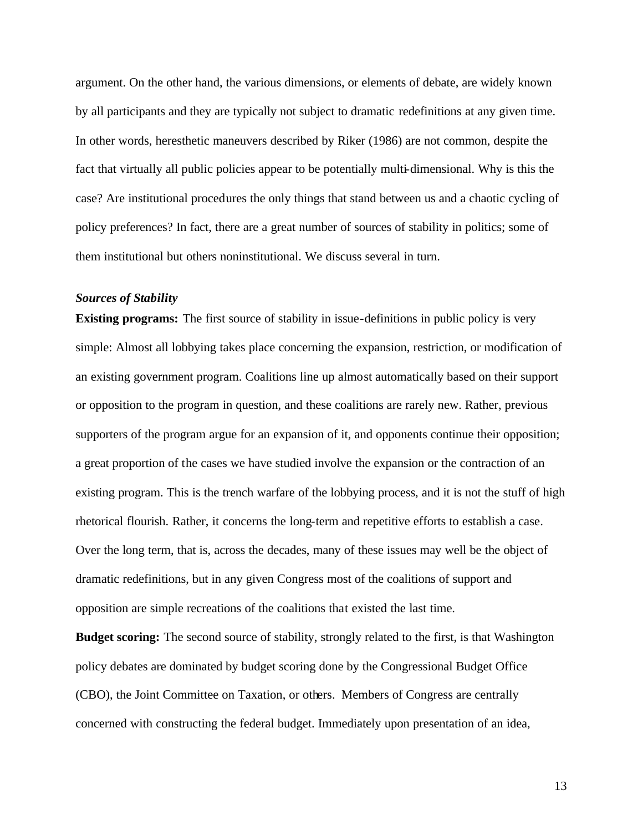argument. On the other hand, the various dimensions, or elements of debate, are widely known by all participants and they are typically not subject to dramatic redefinitions at any given time. In other words, heresthetic maneuvers described by Riker (1986) are not common, despite the fact that virtually all public policies appear to be potentially multi-dimensional. Why is this the case? Are institutional procedures the only things that stand between us and a chaotic cycling of policy preferences? In fact, there are a great number of sources of stability in politics; some of them institutional but others noninstitutional. We discuss several in turn.

#### *Sources of Stability*

**Existing programs:** The first source of stability in issue-definitions in public policy is very simple: Almost all lobbying takes place concerning the expansion, restriction, or modification of an existing government program. Coalitions line up almost automatically based on their support or opposition to the program in question, and these coalitions are rarely new. Rather, previous supporters of the program argue for an expansion of it, and opponents continue their opposition; a great proportion of the cases we have studied involve the expansion or the contraction of an existing program. This is the trench warfare of the lobbying process, and it is not the stuff of high rhetorical flourish. Rather, it concerns the long-term and repetitive efforts to establish a case. Over the long term, that is, across the decades, many of these issues may well be the object of dramatic redefinitions, but in any given Congress most of the coalitions of support and opposition are simple recreations of the coalitions that existed the last time.

**Budget scoring:** The second source of stability, strongly related to the first, is that Washington policy debates are dominated by budget scoring done by the Congressional Budget Office (CBO), the Joint Committee on Taxation, or others. Members of Congress are centrally concerned with constructing the federal budget. Immediately upon presentation of an idea,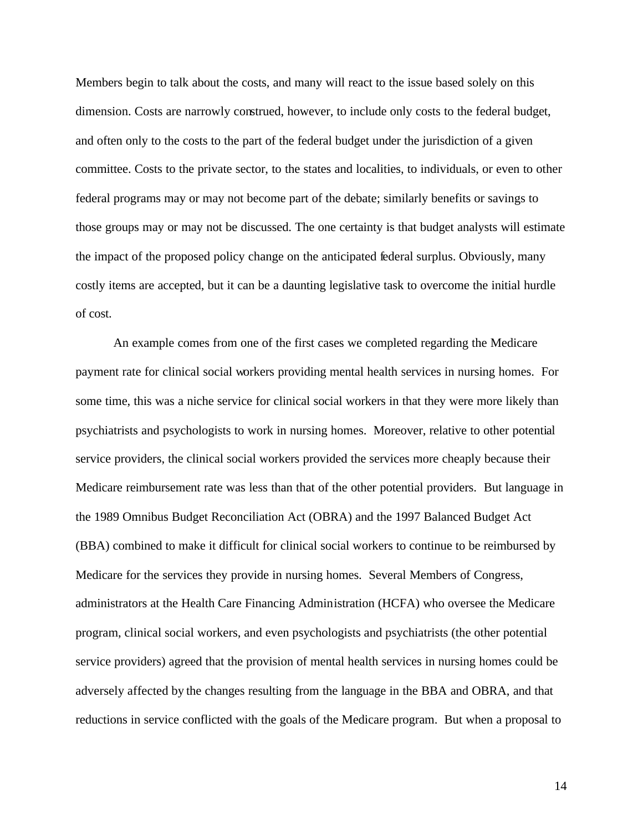Members begin to talk about the costs, and many will react to the issue based solely on this dimension. Costs are narrowly construed, however, to include only costs to the federal budget, and often only to the costs to the part of the federal budget under the jurisdiction of a given committee. Costs to the private sector, to the states and localities, to individuals, or even to other federal programs may or may not become part of the debate; similarly benefits or savings to those groups may or may not be discussed. The one certainty is that budget analysts will estimate the impact of the proposed policy change on the anticipated federal surplus. Obviously, many costly items are accepted, but it can be a daunting legislative task to overcome the initial hurdle of cost.

An example comes from one of the first cases we completed regarding the Medicare payment rate for clinical social workers providing mental health services in nursing homes. For some time, this was a niche service for clinical social workers in that they were more likely than psychiatrists and psychologists to work in nursing homes. Moreover, relative to other potential service providers, the clinical social workers provided the services more cheaply because their Medicare reimbursement rate was less than that of the other potential providers. But language in the 1989 Omnibus Budget Reconciliation Act (OBRA) and the 1997 Balanced Budget Act (BBA) combined to make it difficult for clinical social workers to continue to be reimbursed by Medicare for the services they provide in nursing homes. Several Members of Congress, administrators at the Health Care Financing Administration (HCFA) who oversee the Medicare program, clinical social workers, and even psychologists and psychiatrists (the other potential service providers) agreed that the provision of mental health services in nursing homes could be adversely affected by the changes resulting from the language in the BBA and OBRA, and that reductions in service conflicted with the goals of the Medicare program. But when a proposal to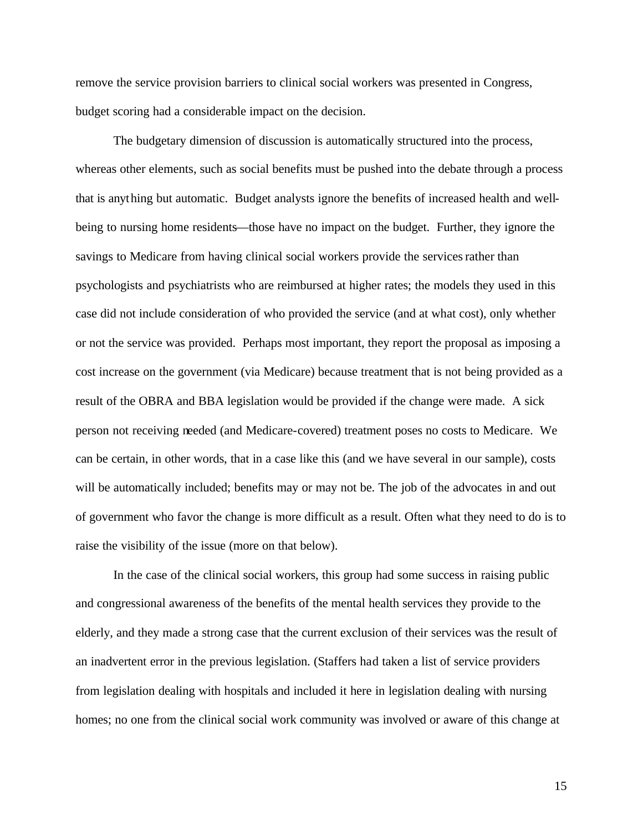remove the service provision barriers to clinical social workers was presented in Congress, budget scoring had a considerable impact on the decision.

The budgetary dimension of discussion is automatically structured into the process, whereas other elements, such as social benefits must be pushed into the debate through a process that is anything but automatic. Budget analysts ignore the benefits of increased health and wellbeing to nursing home residents—those have no impact on the budget. Further, they ignore the savings to Medicare from having clinical social workers provide the services rather than psychologists and psychiatrists who are reimbursed at higher rates; the models they used in this case did not include consideration of who provided the service (and at what cost), only whether or not the service was provided. Perhaps most important, they report the proposal as imposing a cost increase on the government (via Medicare) because treatment that is not being provided as a result of the OBRA and BBA legislation would be provided if the change were made. A sick person not receiving needed (and Medicare-covered) treatment poses no costs to Medicare. We can be certain, in other words, that in a case like this (and we have several in our sample), costs will be automatically included; benefits may or may not be. The job of the advocates in and out of government who favor the change is more difficult as a result. Often what they need to do is to raise the visibility of the issue (more on that below).

In the case of the clinical social workers, this group had some success in raising public and congressional awareness of the benefits of the mental health services they provide to the elderly, and they made a strong case that the current exclusion of their services was the result of an inadvertent error in the previous legislation. (Staffers had taken a list of service providers from legislation dealing with hospitals and included it here in legislation dealing with nursing homes; no one from the clinical social work community was involved or aware of this change at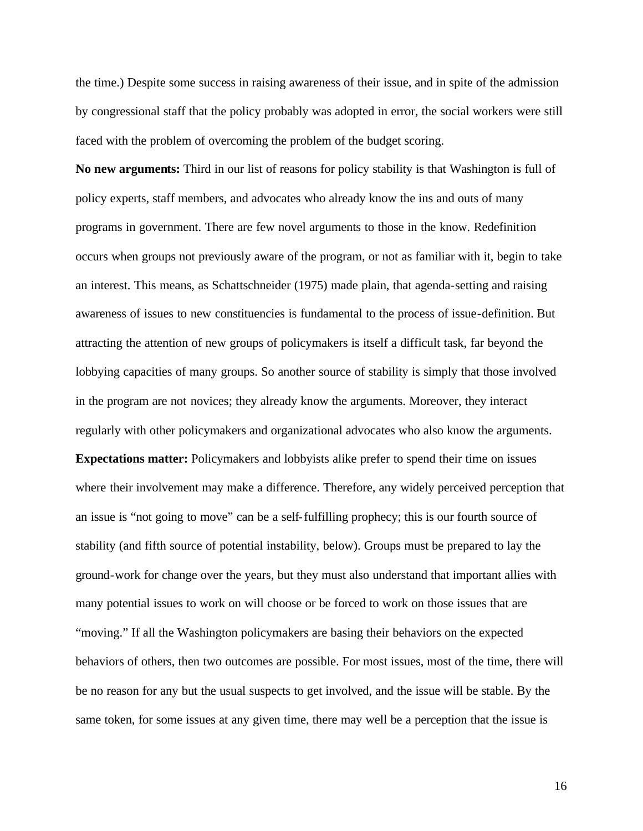the time.) Despite some success in raising awareness of their issue, and in spite of the admission by congressional staff that the policy probably was adopted in error, the social workers were still faced with the problem of overcoming the problem of the budget scoring.

**No new arguments:** Third in our list of reasons for policy stability is that Washington is full of policy experts, staff members, and advocates who already know the ins and outs of many programs in government. There are few novel arguments to those in the know. Redefinition occurs when groups not previously aware of the program, or not as familiar with it, begin to take an interest. This means, as Schattschneider (1975) made plain, that agenda-setting and raising awareness of issues to new constituencies is fundamental to the process of issue-definition. But attracting the attention of new groups of policymakers is itself a difficult task, far beyond the lobbying capacities of many groups. So another source of stability is simply that those involved in the program are not novices; they already know the arguments. Moreover, they interact regularly with other policymakers and organizational advocates who also know the arguments. **Expectations matter:** Policymakers and lobbyists alike prefer to spend their time on issues where their involvement may make a difference. Therefore, any widely perceived perception that an issue is "not going to move" can be a self-fulfilling prophecy; this is our fourth source of stability (and fifth source of potential instability, below). Groups must be prepared to lay the ground-work for change over the years, but they must also understand that important allies with many potential issues to work on will choose or be forced to work on those issues that are "moving." If all the Washington policymakers are basing their behaviors on the expected behaviors of others, then two outcomes are possible. For most issues, most of the time, there will be no reason for any but the usual suspects to get involved, and the issue will be stable. By the same token, for some issues at any given time, there may well be a perception that the issue is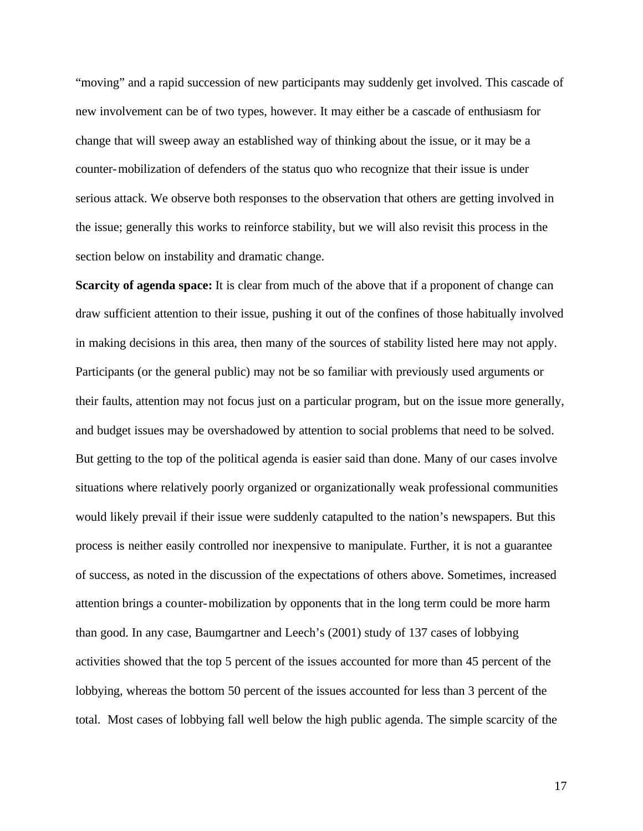"moving" and a rapid succession of new participants may suddenly get involved. This cascade of new involvement can be of two types, however. It may either be a cascade of enthusiasm for change that will sweep away an established way of thinking about the issue, or it may be a counter-mobilization of defenders of the status quo who recognize that their issue is under serious attack. We observe both responses to the observation that others are getting involved in the issue; generally this works to reinforce stability, but we will also revisit this process in the section below on instability and dramatic change.

**Scarcity of agenda space:** It is clear from much of the above that if a proponent of change can draw sufficient attention to their issue, pushing it out of the confines of those habitually involved in making decisions in this area, then many of the sources of stability listed here may not apply. Participants (or the general public) may not be so familiar with previously used arguments or their faults, attention may not focus just on a particular program, but on the issue more generally, and budget issues may be overshadowed by attention to social problems that need to be solved. But getting to the top of the political agenda is easier said than done. Many of our cases involve situations where relatively poorly organized or organizationally weak professional communities would likely prevail if their issue were suddenly catapulted to the nation's newspapers. But this process is neither easily controlled nor inexpensive to manipulate. Further, it is not a guarantee of success, as noted in the discussion of the expectations of others above. Sometimes, increased attention brings a counter-mobilization by opponents that in the long term could be more harm than good. In any case, Baumgartner and Leech's (2001) study of 137 cases of lobbying activities showed that the top 5 percent of the issues accounted for more than 45 percent of the lobbying, whereas the bottom 50 percent of the issues accounted for less than 3 percent of the total. Most cases of lobbying fall well below the high public agenda. The simple scarcity of the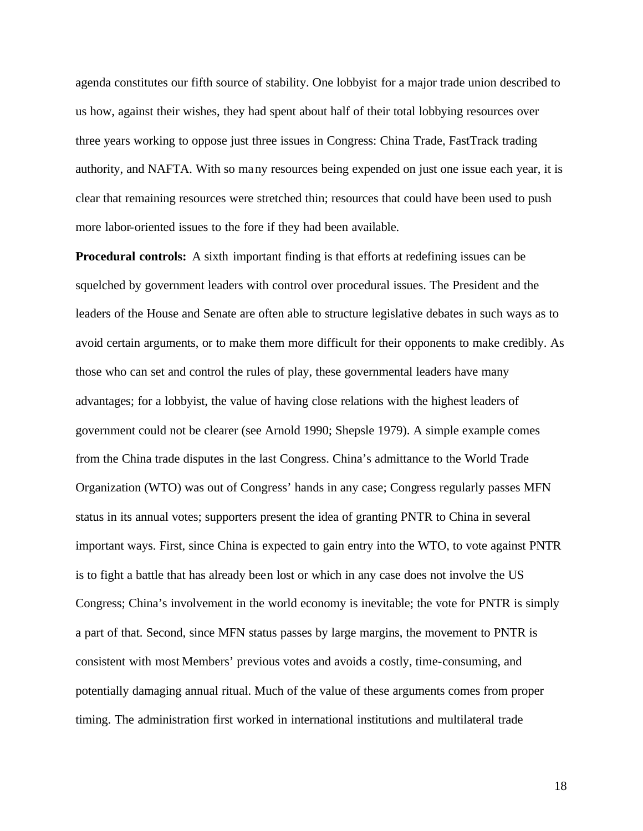agenda constitutes our fifth source of stability. One lobbyist for a major trade union described to us how, against their wishes, they had spent about half of their total lobbying resources over three years working to oppose just three issues in Congress: China Trade, FastTrack trading authority, and NAFTA. With so many resources being expended on just one issue each year, it is clear that remaining resources were stretched thin; resources that could have been used to push more labor-oriented issues to the fore if they had been available.

**Procedural controls:** A sixth important finding is that efforts at redefining issues can be squelched by government leaders with control over procedural issues. The President and the leaders of the House and Senate are often able to structure legislative debates in such ways as to avoid certain arguments, or to make them more difficult for their opponents to make credibly. As those who can set and control the rules of play, these governmental leaders have many advantages; for a lobbyist, the value of having close relations with the highest leaders of government could not be clearer (see Arnold 1990; Shepsle 1979). A simple example comes from the China trade disputes in the last Congress. China's admittance to the World Trade Organization (WTO) was out of Congress' hands in any case; Congress regularly passes MFN status in its annual votes; supporters present the idea of granting PNTR to China in several important ways. First, since China is expected to gain entry into the WTO, to vote against PNTR is to fight a battle that has already been lost or which in any case does not involve the US Congress; China's involvement in the world economy is inevitable; the vote for PNTR is simply a part of that. Second, since MFN status passes by large margins, the movement to PNTR is consistent with most Members' previous votes and avoids a costly, time-consuming, and potentially damaging annual ritual. Much of the value of these arguments comes from proper timing. The administration first worked in international institutions and multilateral trade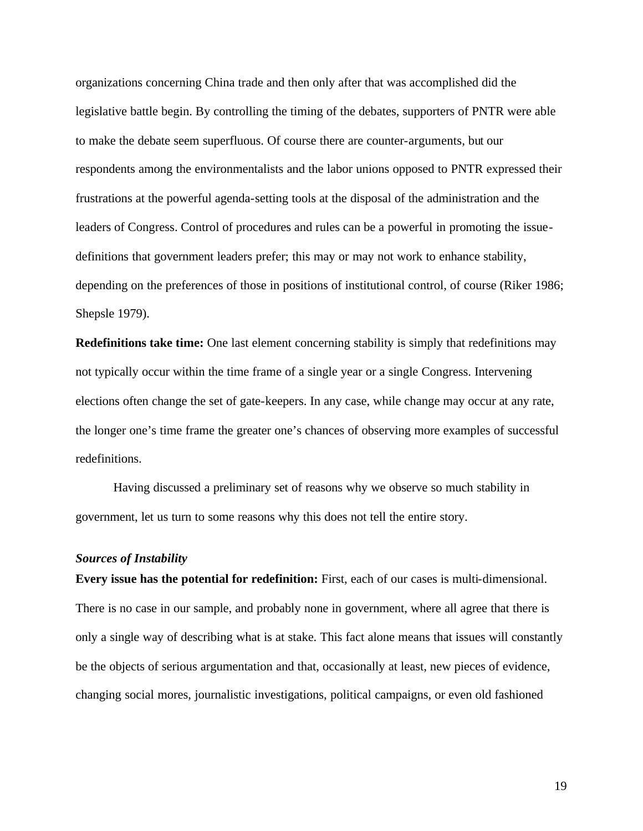organizations concerning China trade and then only after that was accomplished did the legislative battle begin. By controlling the timing of the debates, supporters of PNTR were able to make the debate seem superfluous. Of course there are counter-arguments, but our respondents among the environmentalists and the labor unions opposed to PNTR expressed their frustrations at the powerful agenda-setting tools at the disposal of the administration and the leaders of Congress. Control of procedures and rules can be a powerful in promoting the issuedefinitions that government leaders prefer; this may or may not work to enhance stability, depending on the preferences of those in positions of institutional control, of course (Riker 1986; Shepsle 1979).

**Redefinitions take time:** One last element concerning stability is simply that redefinitions may not typically occur within the time frame of a single year or a single Congress. Intervening elections often change the set of gate-keepers. In any case, while change may occur at any rate, the longer one's time frame the greater one's chances of observing more examples of successful redefinitions.

Having discussed a preliminary set of reasons why we observe so much stability in government, let us turn to some reasons why this does not tell the entire story.

#### *Sources of Instability*

**Every issue has the potential for redefinition:** First, each of our cases is multi-dimensional. There is no case in our sample, and probably none in government, where all agree that there is only a single way of describing what is at stake. This fact alone means that issues will constantly be the objects of serious argumentation and that, occasionally at least, new pieces of evidence, changing social mores, journalistic investigations, political campaigns, or even old fashioned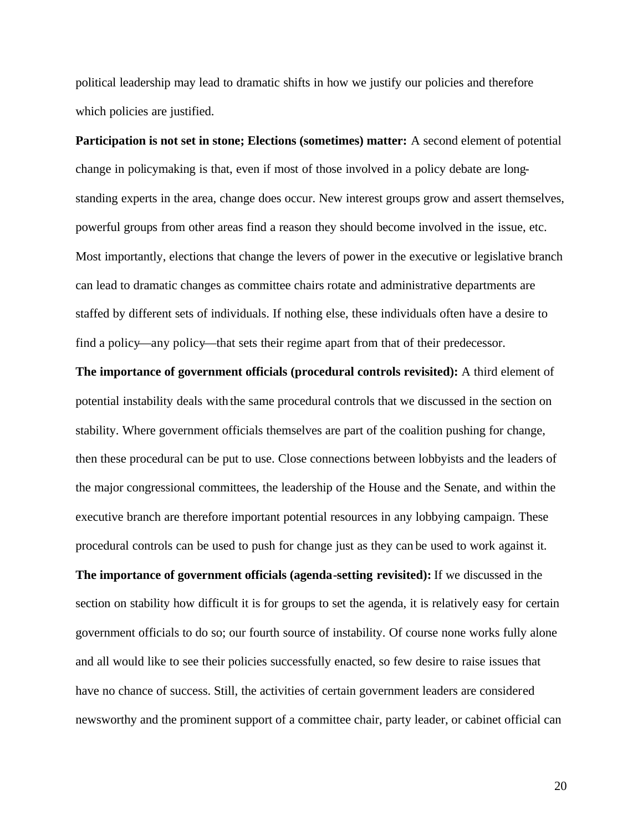political leadership may lead to dramatic shifts in how we justify our policies and therefore which policies are justified.

**Participation is not set in stone; Elections (sometimes) matter:** A second element of potential change in policymaking is that, even if most of those involved in a policy debate are longstanding experts in the area, change does occur. New interest groups grow and assert themselves, powerful groups from other areas find a reason they should become involved in the issue, etc. Most importantly, elections that change the levers of power in the executive or legislative branch can lead to dramatic changes as committee chairs rotate and administrative departments are staffed by different sets of individuals. If nothing else, these individuals often have a desire to find a policy—any policy—that sets their regime apart from that of their predecessor.

**The importance of government officials (procedural controls revisited):** A third element of potential instability deals with the same procedural controls that we discussed in the section on stability. Where government officials themselves are part of the coalition pushing for change, then these procedural can be put to use. Close connections between lobbyists and the leaders of the major congressional committees, the leadership of the House and the Senate, and within the executive branch are therefore important potential resources in any lobbying campaign. These procedural controls can be used to push for change just as they can be used to work against it.

**The importance of government officials (agenda-setting revisited):** If we discussed in the section on stability how difficult it is for groups to set the agenda, it is relatively easy for certain government officials to do so; our fourth source of instability. Of course none works fully alone and all would like to see their policies successfully enacted, so few desire to raise issues that have no chance of success. Still, the activities of certain government leaders are considered newsworthy and the prominent support of a committee chair, party leader, or cabinet official can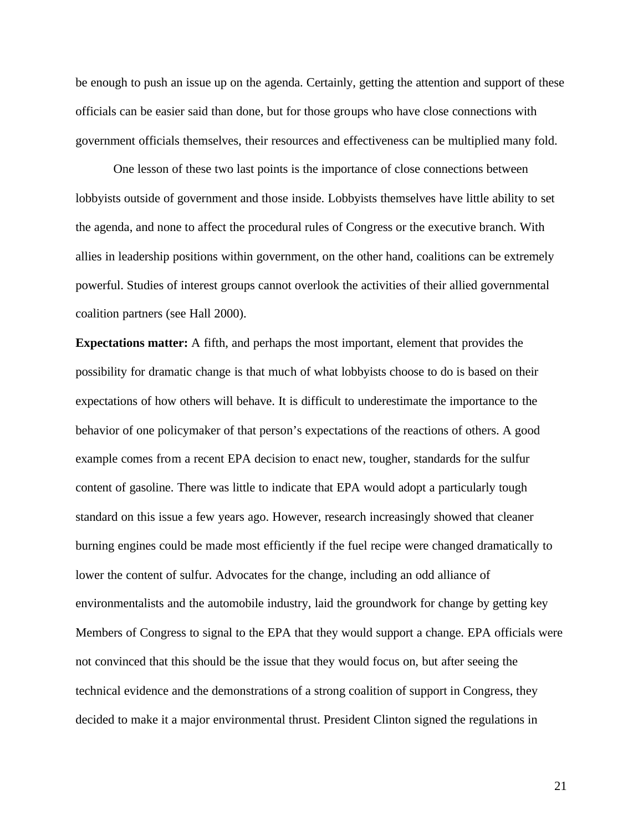be enough to push an issue up on the agenda. Certainly, getting the attention and support of these officials can be easier said than done, but for those groups who have close connections with government officials themselves, their resources and effectiveness can be multiplied many fold.

One lesson of these two last points is the importance of close connections between lobbyists outside of government and those inside. Lobbyists themselves have little ability to set the agenda, and none to affect the procedural rules of Congress or the executive branch. With allies in leadership positions within government, on the other hand, coalitions can be extremely powerful. Studies of interest groups cannot overlook the activities of their allied governmental coalition partners (see Hall 2000).

**Expectations matter:** A fifth, and perhaps the most important, element that provides the possibility for dramatic change is that much of what lobbyists choose to do is based on their expectations of how others will behave. It is difficult to underestimate the importance to the behavior of one policymaker of that person's expectations of the reactions of others. A good example comes from a recent EPA decision to enact new, tougher, standards for the sulfur content of gasoline. There was little to indicate that EPA would adopt a particularly tough standard on this issue a few years ago. However, research increasingly showed that cleaner burning engines could be made most efficiently if the fuel recipe were changed dramatically to lower the content of sulfur. Advocates for the change, including an odd alliance of environmentalists and the automobile industry, laid the groundwork for change by getting key Members of Congress to signal to the EPA that they would support a change. EPA officials were not convinced that this should be the issue that they would focus on, but after seeing the technical evidence and the demonstrations of a strong coalition of support in Congress, they decided to make it a major environmental thrust. President Clinton signed the regulations in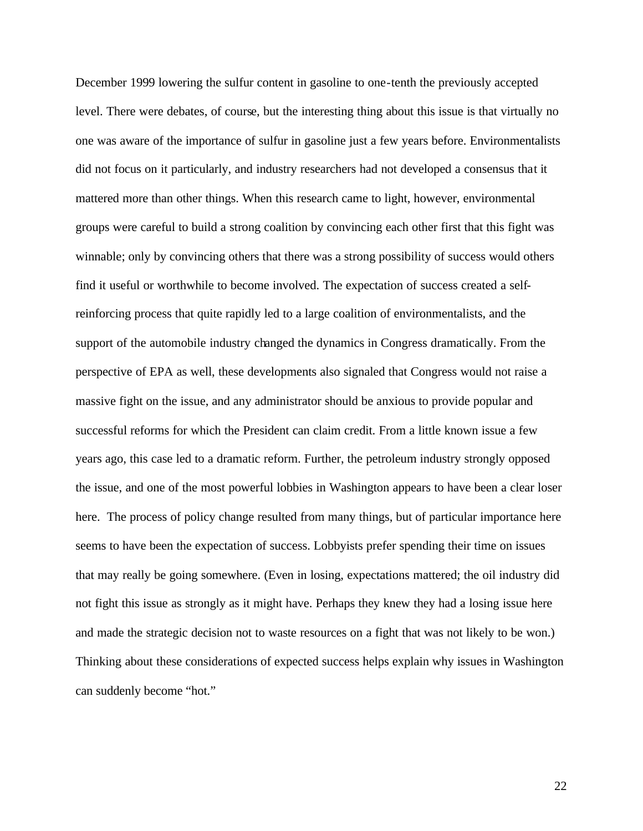December 1999 lowering the sulfur content in gasoline to one-tenth the previously accepted level. There were debates, of course, but the interesting thing about this issue is that virtually no one was aware of the importance of sulfur in gasoline just a few years before. Environmentalists did not focus on it particularly, and industry researchers had not developed a consensus that it mattered more than other things. When this research came to light, however, environmental groups were careful to build a strong coalition by convincing each other first that this fight was winnable; only by convincing others that there was a strong possibility of success would others find it useful or worthwhile to become involved. The expectation of success created a selfreinforcing process that quite rapidly led to a large coalition of environmentalists, and the support of the automobile industry changed the dynamics in Congress dramatically. From the perspective of EPA as well, these developments also signaled that Congress would not raise a massive fight on the issue, and any administrator should be anxious to provide popular and successful reforms for which the President can claim credit. From a little known issue a few years ago, this case led to a dramatic reform. Further, the petroleum industry strongly opposed the issue, and one of the most powerful lobbies in Washington appears to have been a clear loser here. The process of policy change resulted from many things, but of particular importance here seems to have been the expectation of success. Lobbyists prefer spending their time on issues that may really be going somewhere. (Even in losing, expectations mattered; the oil industry did not fight this issue as strongly as it might have. Perhaps they knew they had a losing issue here and made the strategic decision not to waste resources on a fight that was not likely to be won.) Thinking about these considerations of expected success helps explain why issues in Washington can suddenly become "hot."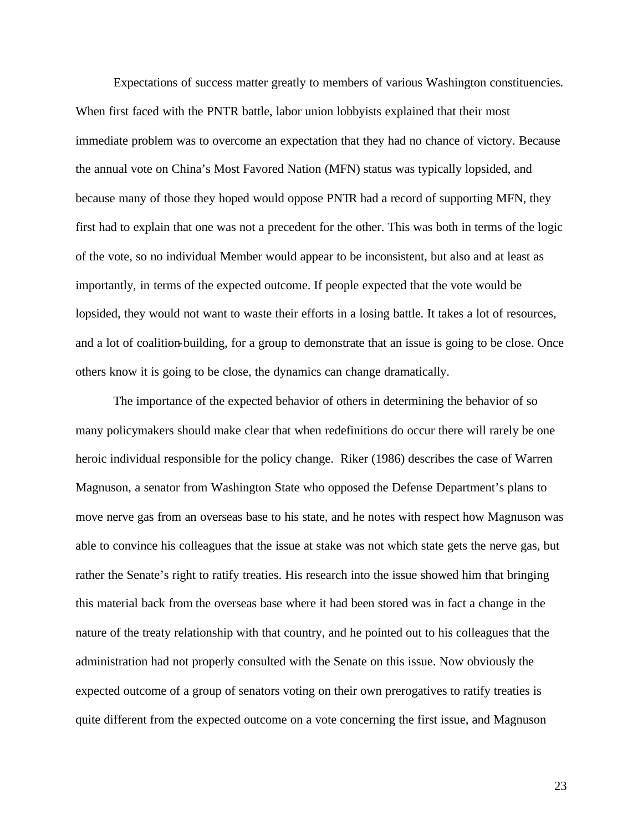Expectations of success matter greatly to members of various Washington constituencies. When first faced with the PNTR battle, labor union lobbyists explained that their most immediate problem was to overcome an expectation that they had no chance of victory. Because the annual vote on China's Most Favored Nation (MFN) status was typically lopsided, and because many of those they hoped would oppose PNTR had a record of supporting MFN, they first had to explain that one was not a precedent for the other. This was both in terms of the logic of the vote, so no individual Member would appear to be inconsistent, but also and at least as importantly, in terms of the expected outcome. If people expected that the vote would be lopsided, they would not want to waste their efforts in a losing battle. It takes a lot of resources, and a lot of coalition-building, for a group to demonstrate that an issue is going to be close. Once others know it is going to be close, the dynamics can change dramatically.

The importance of the expected behavior of others in determining the behavior of so many policymakers should make clear that when redefinitions do occur there will rarely be one heroic individual responsible for the policy change. Riker (1986) describes the case of Warren Magnuson, a senator from Washington State who opposed the Defense Department's plans to move nerve gas from an overseas base to his state, and he notes with respect how Magnuson was able to convince his colleagues that the issue at stake was not which state gets the nerve gas, but rather the Senate's right to ratify treaties. His research into the issue showed him that bringing this material back from the overseas base where it had been stored was in fact a change in the nature of the treaty relationship with that country, and he pointed out to his colleagues that the administration had not properly consulted with the Senate on this issue. Now obviously the expected outcome of a group of senators voting on their own prerogatives to ratify treaties is quite different from the expected outcome on a vote concerning the first issue, and Magnuson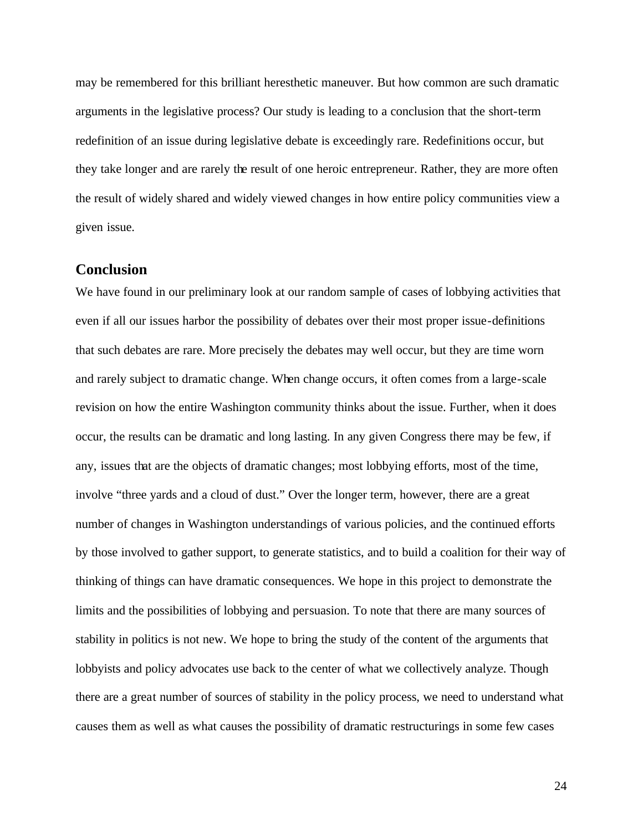may be remembered for this brilliant heresthetic maneuver. But how common are such dramatic arguments in the legislative process? Our study is leading to a conclusion that the short-term redefinition of an issue during legislative debate is exceedingly rare. Redefinitions occur, but they take longer and are rarely the result of one heroic entrepreneur. Rather, they are more often the result of widely shared and widely viewed changes in how entire policy communities view a given issue.

### **Conclusion**

We have found in our preliminary look at our random sample of cases of lobbying activities that even if all our issues harbor the possibility of debates over their most proper issue-definitions that such debates are rare. More precisely the debates may well occur, but they are time worn and rarely subject to dramatic change. When change occurs, it often comes from a large-scale revision on how the entire Washington community thinks about the issue. Further, when it does occur, the results can be dramatic and long lasting. In any given Congress there may be few, if any, issues that are the objects of dramatic changes; most lobbying efforts, most of the time, involve "three yards and a cloud of dust." Over the longer term, however, there are a great number of changes in Washington understandings of various policies, and the continued efforts by those involved to gather support, to generate statistics, and to build a coalition for their way of thinking of things can have dramatic consequences. We hope in this project to demonstrate the limits and the possibilities of lobbying and persuasion. To note that there are many sources of stability in politics is not new. We hope to bring the study of the content of the arguments that lobbyists and policy advocates use back to the center of what we collectively analyze. Though there are a great number of sources of stability in the policy process, we need to understand what causes them as well as what causes the possibility of dramatic restructurings in some few cases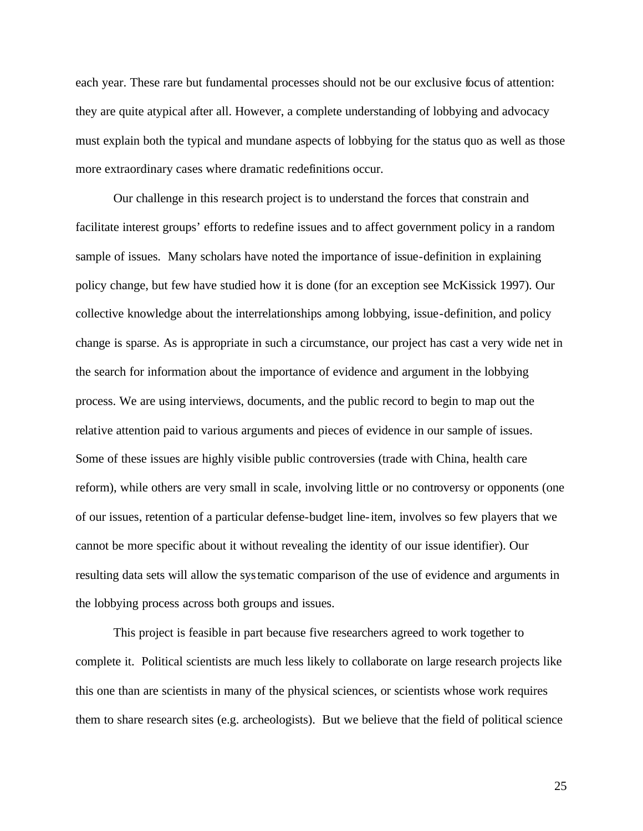each year. These rare but fundamental processes should not be our exclusive focus of attention: they are quite atypical after all. However, a complete understanding of lobbying and advocacy must explain both the typical and mundane aspects of lobbying for the status quo as well as those more extraordinary cases where dramatic redefinitions occur.

Our challenge in this research project is to understand the forces that constrain and facilitate interest groups' efforts to redefine issues and to affect government policy in a random sample of issues. Many scholars have noted the importance of issue-definition in explaining policy change, but few have studied how it is done (for an exception see McKissick 1997). Our collective knowledge about the interrelationships among lobbying, issue-definition, and policy change is sparse. As is appropriate in such a circumstance, our project has cast a very wide net in the search for information about the importance of evidence and argument in the lobbying process. We are using interviews, documents, and the public record to begin to map out the relative attention paid to various arguments and pieces of evidence in our sample of issues. Some of these issues are highly visible public controversies (trade with China, health care reform), while others are very small in scale, involving little or no controversy or opponents (one of our issues, retention of a particular defense-budget line-item, involves so few players that we cannot be more specific about it without revealing the identity of our issue identifier). Our resulting data sets will allow the systematic comparison of the use of evidence and arguments in the lobbying process across both groups and issues.

This project is feasible in part because five researchers agreed to work together to complete it. Political scientists are much less likely to collaborate on large research projects like this one than are scientists in many of the physical sciences, or scientists whose work requires them to share research sites (e.g. archeologists). But we believe that the field of political science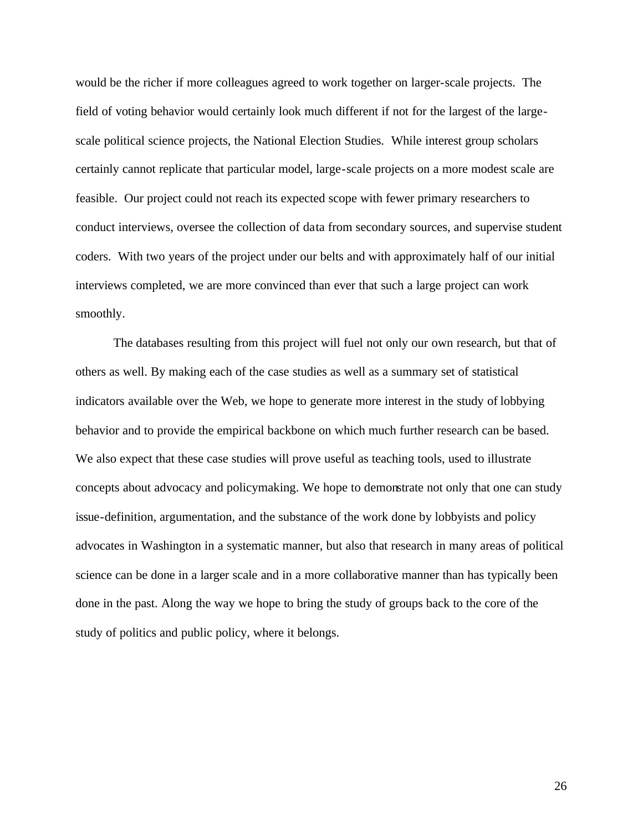would be the richer if more colleagues agreed to work together on larger-scale projects. The field of voting behavior would certainly look much different if not for the largest of the largescale political science projects, the National Election Studies. While interest group scholars certainly cannot replicate that particular model, large-scale projects on a more modest scale are feasible. Our project could not reach its expected scope with fewer primary researchers to conduct interviews, oversee the collection of data from secondary sources, and supervise student coders. With two years of the project under our belts and with approximately half of our initial interviews completed, we are more convinced than ever that such a large project can work smoothly.

The databases resulting from this project will fuel not only our own research, but that of others as well. By making each of the case studies as well as a summary set of statistical indicators available over the Web, we hope to generate more interest in the study of lobbying behavior and to provide the empirical backbone on which much further research can be based. We also expect that these case studies will prove useful as teaching tools, used to illustrate concepts about advocacy and policymaking. We hope to demonstrate not only that one can study issue-definition, argumentation, and the substance of the work done by lobbyists and policy advocates in Washington in a systematic manner, but also that research in many areas of political science can be done in a larger scale and in a more collaborative manner than has typically been done in the past. Along the way we hope to bring the study of groups back to the core of the study of politics and public policy, where it belongs.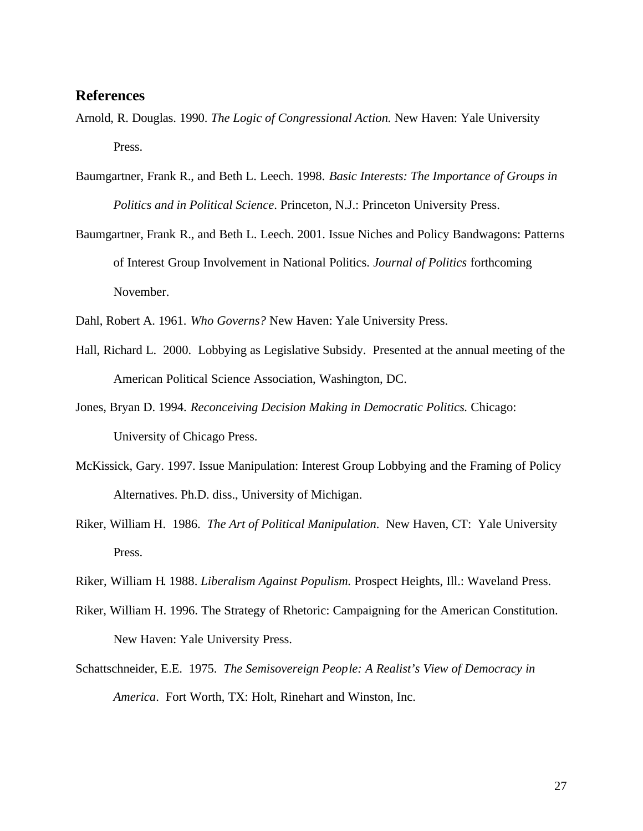## **References**

- Arnold, R. Douglas. 1990. *The Logic of Congressional Action.* New Haven: Yale University Press.
- Baumgartner, Frank R., and Beth L. Leech. 1998. *Basic Interests: The Importance of Groups in Politics and in Political Science*. Princeton, N.J.: Princeton University Press.
- Baumgartner, Frank R., and Beth L. Leech. 2001. Issue Niches and Policy Bandwagons: Patterns of Interest Group Involvement in National Politics. *Journal of Politics* forthcoming November.

Dahl, Robert A. 1961. *Who Governs?* New Haven: Yale University Press.

- Hall, Richard L. 2000. Lobbying as Legislative Subsidy. Presented at the annual meeting of the American Political Science Association, Washington, DC.
- Jones, Bryan D. 1994. *Reconceiving Decision Making in Democratic Politics.* Chicago: University of Chicago Press.
- McKissick, Gary. 1997. Issue Manipulation: Interest Group Lobbying and the Framing of Policy Alternatives. Ph.D. diss., University of Michigan.
- Riker, William H. 1986. *The Art of Political Manipulation*. New Haven, CT: Yale University Press.
- Riker, William H. 1988. *Liberalism Against Populism.* Prospect Heights, Ill.: Waveland Press.
- Riker, William H. 1996. The Strategy of Rhetoric: Campaigning for the American Constitution. New Haven: Yale University Press.
- Schattschneider, E.E. 1975. *The Semisovereign People: A Realist's View of Democracy in America*. Fort Worth, TX: Holt, Rinehart and Winston, Inc.